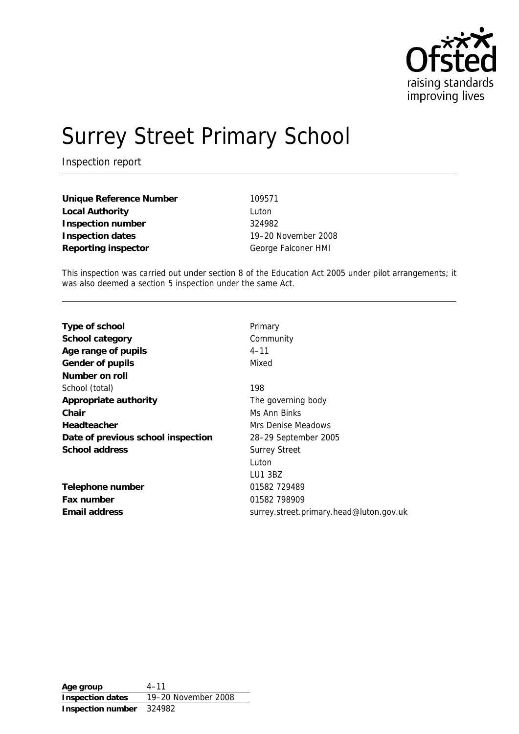

# Surrey Street Primary School

Inspection report

**Unique Reference Number** 109571 **Local Authority** Luton **Inspection number** 324982 **Inspection dates** 19–20 November 2008 **Reporting inspector** George Falconer HMI

This inspection was carried out under section 8 of the Education Act 2005 under pilot arrangements; it was also deemed a section 5 inspection under the same Act.

| Primary                                 |
|-----------------------------------------|
| Community                               |
| $4 - 11$                                |
| Mixed                                   |
|                                         |
| 198                                     |
| The governing body                      |
| Ms Ann Binks                            |
| Mrs Denise Meadows                      |
| 28–29 September 2005                    |
| <b>Surrey Street</b>                    |
| Luton                                   |
| LU1 3BZ                                 |
| 01582 729489                            |
| 01582 798909                            |
| surrey.street.primary.head@luton.gov.uk |
|                                         |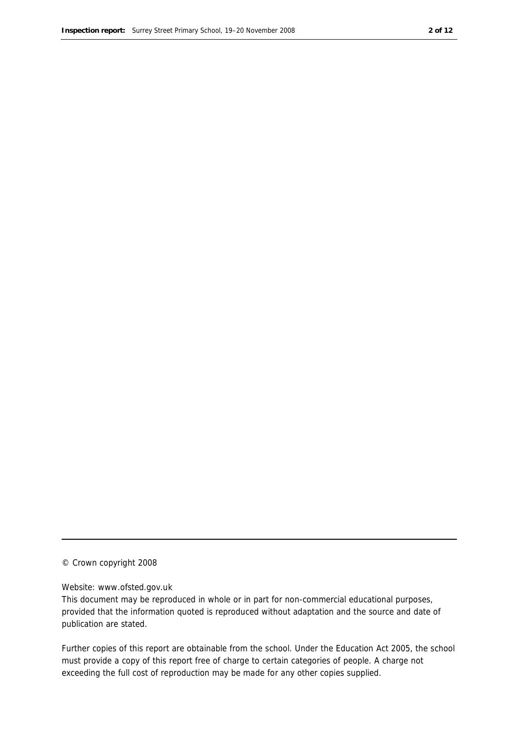#### © Crown copyright 2008

#### Website: www.ofsted.gov.uk

This document may be reproduced in whole or in part for non-commercial educational purposes, provided that the information quoted is reproduced without adaptation and the source and date of publication are stated.

Further copies of this report are obtainable from the school. Under the Education Act 2005, the school must provide a copy of this report free of charge to certain categories of people. A charge not exceeding the full cost of reproduction may be made for any other copies supplied.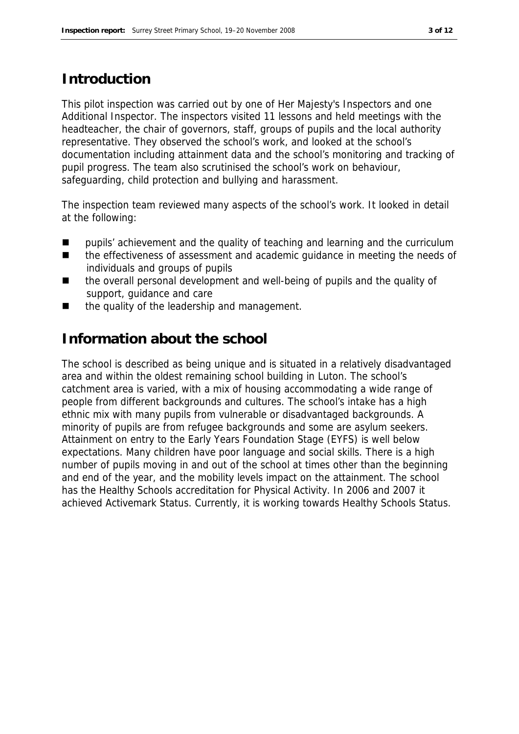#### **Introduction**

This pilot inspection was carried out by one of Her Majesty's Inspectors and one Additional Inspector. The inspectors visited 11 lessons and held meetings with the headteacher, the chair of governors, staff, groups of pupils and the local authority representative. They observed the school's work, and looked at the school's documentation including attainment data and the school's monitoring and tracking of pupil progress. The team also scrutinised the school's work on behaviour, safeguarding, child protection and bullying and harassment.

The inspection team reviewed many aspects of the school's work. It looked in detail at the following:

- $\blacksquare$  pupils' achievement and the quality of teaching and learning and the curriculum
- the effectiveness of assessment and academic quidance in meeting the needs of individuals and groups of pupils
- the overall personal development and well-being of pupils and the quality of support, guidance and care
- the quality of the leadership and management.

#### **Information about the school**

The school is described as being unique and is situated in a relatively disadvantaged area and within the oldest remaining school building in Luton. The school's catchment area is varied, with a mix of housing accommodating a wide range of people from different backgrounds and cultures. The school's intake has a high ethnic mix with many pupils from vulnerable or disadvantaged backgrounds. A minority of pupils are from refugee backgrounds and some are asylum seekers. Attainment on entry to the Early Years Foundation Stage (EYFS) is well below expectations. Many children have poor language and social skills. There is a high number of pupils moving in and out of the school at times other than the beginning and end of the year, and the mobility levels impact on the attainment. The school has the Healthy Schools accreditation for Physical Activity. In 2006 and 2007 it achieved Activemark Status. Currently, it is working towards Healthy Schools Status.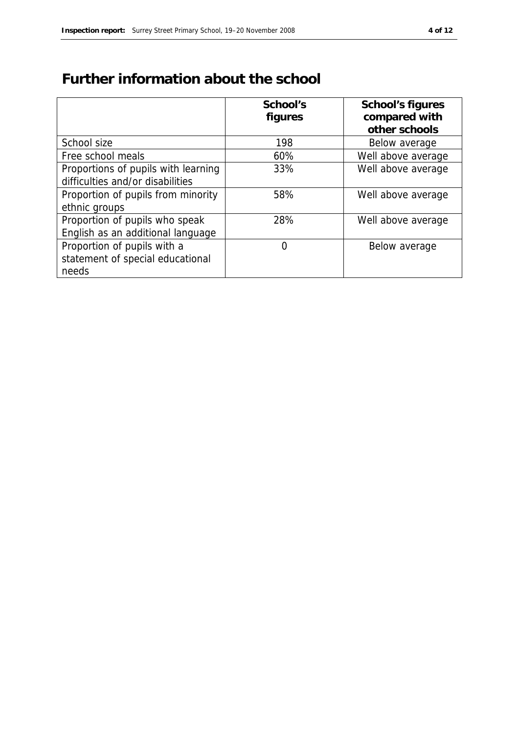### **Further information about the school**

|                                     | School's | School's figures   |
|-------------------------------------|----------|--------------------|
|                                     | figures  | compared with      |
|                                     |          | other schools      |
| School size                         | 198      | Below average      |
| Free school meals                   | 60%      | Well above average |
| Proportions of pupils with learning | 33%      | Well above average |
| difficulties and/or disabilities    |          |                    |
| Proportion of pupils from minority  | 58%      | Well above average |
| ethnic groups                       |          |                    |
| Proportion of pupils who speak      | 28%      | Well above average |
| English as an additional language   |          |                    |
| Proportion of pupils with a         | 0        | Below average      |
| statement of special educational    |          |                    |
| needs                               |          |                    |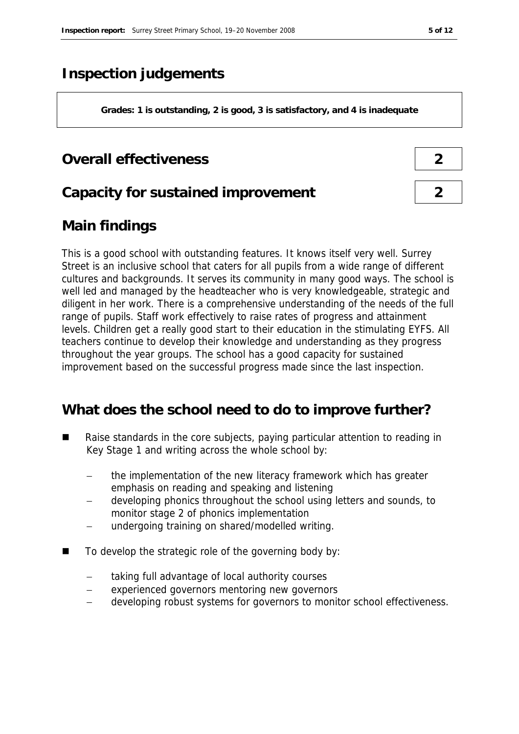#### **Inspection judgements**

**Grades: 1 is outstanding, 2 is good, 3 is satisfactory, and 4 is inadequate**

#### **Overall effectiveness 2**

#### **Capacity for sustained improvement 2**

#### **Main findings**

This is a good school with outstanding features. It knows itself very well. Surrey Street is an inclusive school that caters for all pupils from a wide range of different cultures and backgrounds. It serves its community in many good ways. The school is well led and managed by the headteacher who is very knowledgeable, strategic and diligent in her work. There is a comprehensive understanding of the needs of the full range of pupils. Staff work effectively to raise rates of progress and attainment levels. Children get a really good start to their education in the stimulating EYFS. All teachers continue to develop their knowledge and understanding as they progress throughout the year groups. The school has a good capacity for sustained improvement based on the successful progress made since the last inspection.

#### **What does the school need to do to improve further?**

- Raise standards in the core subjects, paying particular attention to reading in Key Stage 1 and writing across the whole school by:
	- the implementation of the new literacy framework which has greater emphasis on reading and speaking and listening
	- developing phonics throughout the school using letters and sounds, to monitor stage 2 of phonics implementation
	- undergoing training on shared/modelled writing.
- To develop the strategic role of the governing body by:
	- taking full advantage of local authority courses
	- experienced governors mentoring new governors
	- developing robust systems for governors to monitor school effectiveness.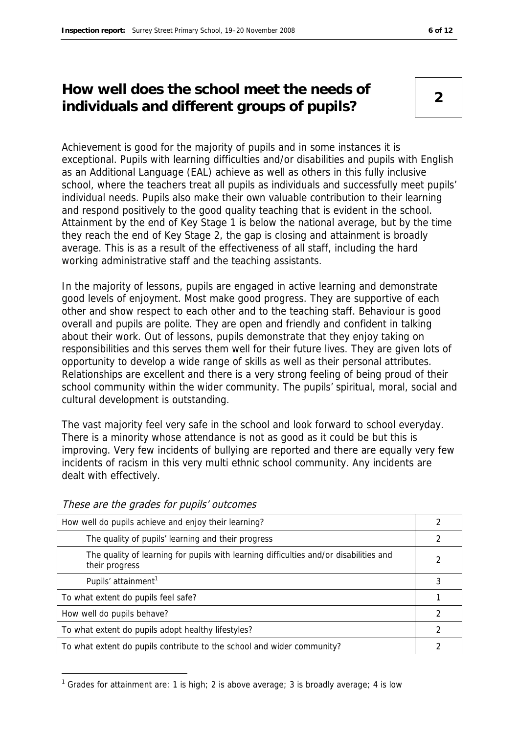#### **How well does the school meet the needs of individuals and different groups of pupils? <sup>2</sup>**

Achievement is good for the majority of pupils and in some instances it is exceptional. Pupils with learning difficulties and/or disabilities and pupils with English as an Additional Language (EAL) achieve as well as others in this fully inclusive school, where the teachers treat all pupils as individuals and successfully meet pupils' individual needs. Pupils also make their own valuable contribution to their learning and respond positively to the good quality teaching that is evident in the school. Attainment by the end of Key Stage 1 is below the national average, but by the time they reach the end of Key Stage 2, the gap is closing and attainment is broadly average. This is as a result of the effectiveness of all staff, including the hard working administrative staff and the teaching assistants.

In the majority of lessons, pupils are engaged in active learning and demonstrate good levels of enjoyment. Most make good progress. They are supportive of each other and show respect to each other and to the teaching staff. Behaviour is good overall and pupils are polite. They are open and friendly and confident in talking about their work. Out of lessons, pupils demonstrate that they enjoy taking on responsibilities and this serves them well for their future lives. They are given lots of opportunity to develop a wide range of skills as well as their personal attributes. Relationships are excellent and there is a very strong feeling of being proud of their school community within the wider community. The pupils' spiritual, moral, social and cultural development is outstanding.

The vast majority feel very safe in the school and look forward to school everyday. There is a minority whose attendance is not as good as it could be but this is improving. Very few incidents of bullying are reported and there are equally very few incidents of racism in this very multi ethnic school community. Any incidents are dealt with effectively.

| How well do pupils achieve and enjoy their learning?                                                    |   |
|---------------------------------------------------------------------------------------------------------|---|
| The quality of pupils' learning and their progress                                                      | 2 |
| The quality of learning for pupils with learning difficulties and/or disabilities and<br>their progress |   |
| Pupils' attainment <sup>1</sup>                                                                         |   |
| To what extent do pupils feel safe?                                                                     |   |
| How well do pupils behave?                                                                              | 2 |
| To what extent do pupils adopt healthy lifestyles?                                                      |   |
| To what extent do pupils contribute to the school and wider community?                                  |   |

These are the grades for pupils' outcomes

-

<sup>&</sup>lt;sup>1</sup> Grades for attainment are: 1 is high; 2 is above average; 3 is broadly average; 4 is low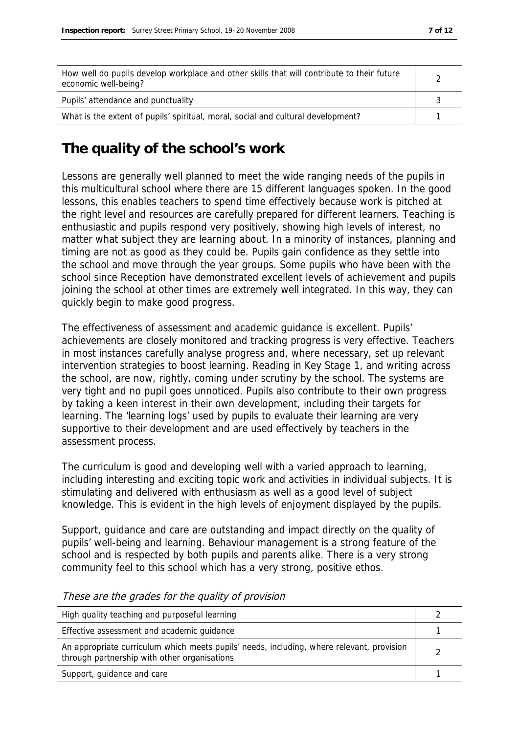| How well do pupils develop workplace and other skills that will contribute to their future<br>economic well-being? |  |
|--------------------------------------------------------------------------------------------------------------------|--|
| Pupils' attendance and punctuality                                                                                 |  |
| What is the extent of pupils' spiritual, moral, social and cultural development?                                   |  |

#### **The quality of the school's work**

Lessons are generally well planned to meet the wide ranging needs of the pupils in this multicultural school where there are 15 different languages spoken. In the good lessons, this enables teachers to spend time effectively because work is pitched at the right level and resources are carefully prepared for different learners. Teaching is enthusiastic and pupils respond very positively, showing high levels of interest, no matter what subject they are learning about. In a minority of instances, planning and timing are not as good as they could be. Pupils gain confidence as they settle into the school and move through the year groups. Some pupils who have been with the school since Reception have demonstrated excellent levels of achievement and pupils joining the school at other times are extremely well integrated. In this way, they can quickly begin to make good progress.

The effectiveness of assessment and academic guidance is excellent. Pupils' achievements are closely monitored and tracking progress is very effective. Teachers in most instances carefully analyse progress and, where necessary, set up relevant intervention strategies to boost learning. Reading in Key Stage 1, and writing across the school, are now, rightly, coming under scrutiny by the school. The systems are very tight and no pupil goes unnoticed. Pupils also contribute to their own progress by taking a keen interest in their own development, including their targets for learning. The 'learning logs' used by pupils to evaluate their learning are very supportive to their development and are used effectively by teachers in the assessment process.

The curriculum is good and developing well with a varied approach to learning, including interesting and exciting topic work and activities in individual subjects. It is stimulating and delivered with enthusiasm as well as a good level of subject knowledge. This is evident in the high levels of enjoyment displayed by the pupils.

Support, guidance and care are outstanding and impact directly on the quality of pupils' well-being and learning. Behaviour management is a strong feature of the school and is respected by both pupils and parents alike. There is a very strong community feel to this school which has a very strong, positive ethos.

| High quality teaching and purposeful learning                                                                                             |  |
|-------------------------------------------------------------------------------------------------------------------------------------------|--|
| Effective assessment and academic guidance                                                                                                |  |
| An appropriate curriculum which meets pupils' needs, including, where relevant, provision<br>through partnership with other organisations |  |
| Support, guidance and care                                                                                                                |  |

These are the grades for the quality of provision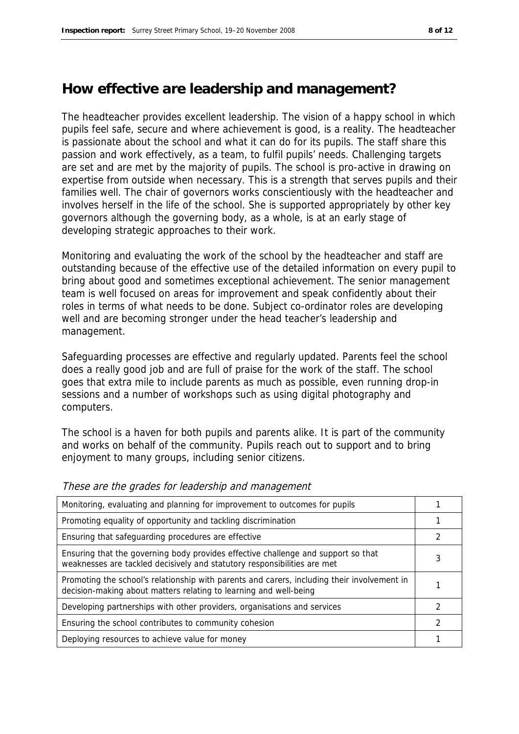#### **How effective are leadership and management?**

The headteacher provides excellent leadership. The vision of a happy school in which pupils feel safe, secure and where achievement is good, is a reality. The headteacher is passionate about the school and what it can do for its pupils. The staff share this passion and work effectively, as a team, to fulfil pupils' needs. Challenging targets are set and are met by the majority of pupils. The school is pro-active in drawing on expertise from outside when necessary. This is a strength that serves pupils and their families well. The chair of governors works conscientiously with the headteacher and involves herself in the life of the school. She is supported appropriately by other key governors although the governing body, as a whole, is at an early stage of developing strategic approaches to their work.

Monitoring and evaluating the work of the school by the headteacher and staff are outstanding because of the effective use of the detailed information on every pupil to bring about good and sometimes exceptional achievement. The senior management team is well focused on areas for improvement and speak confidently about their roles in terms of what needs to be done. Subject co-ordinator roles are developing well and are becoming stronger under the head teacher's leadership and management.

Safeguarding processes are effective and regularly updated. Parents feel the school does a really good job and are full of praise for the work of the staff. The school goes that extra mile to include parents as much as possible, even running drop-in sessions and a number of workshops such as using digital photography and computers.

The school is a haven for both pupils and parents alike. It is part of the community and works on behalf of the community. Pupils reach out to support and to bring enjoyment to many groups, including senior citizens.

| Monitoring, evaluating and planning for improvement to outcomes for pupils                                                                                       |  |
|------------------------------------------------------------------------------------------------------------------------------------------------------------------|--|
| Promoting equality of opportunity and tackling discrimination                                                                                                    |  |
| Ensuring that safeguarding procedures are effective                                                                                                              |  |
| Ensuring that the governing body provides effective challenge and support so that<br>weaknesses are tackled decisively and statutory responsibilities are met    |  |
| Promoting the school's relationship with parents and carers, including their involvement in<br>decision-making about matters relating to learning and well-being |  |
| Developing partnerships with other providers, organisations and services                                                                                         |  |
| Ensuring the school contributes to community cohesion                                                                                                            |  |
| Deploying resources to achieve value for money                                                                                                                   |  |

These are the grades for leadership and management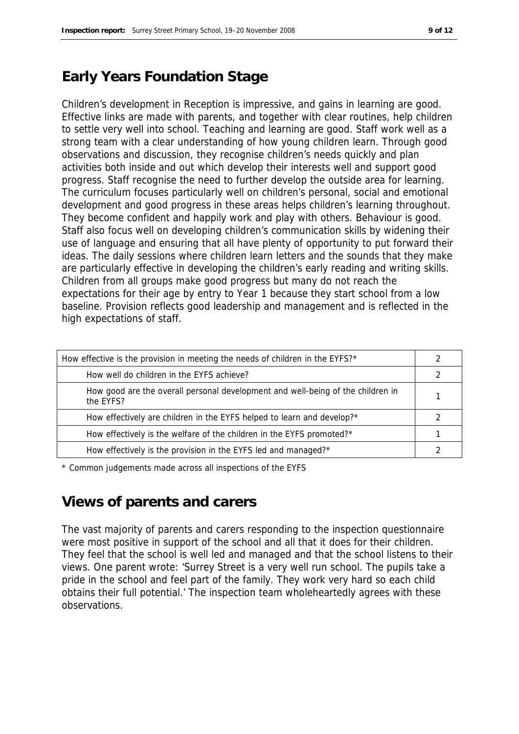#### **Early Years Foundation Stage**

Children's development in Reception is impressive, and gains in learning are good. Effective links are made with parents, and together with clear routines, help children to settle very well into school. Teaching and learning are good. Staff work well as a strong team with a clear understanding of how young children learn. Through good observations and discussion, they recognise children's needs quickly and plan activities both inside and out which develop their interests well and support good progress. Staff recognise the need to further develop the outside area for learning. The curriculum focuses particularly well on children's personal, social and emotional development and good progress in these areas helps children's learning throughout. They become confident and happily work and play with others. Behaviour is good. Staff also focus well on developing children's communication skills by widening their use of language and ensuring that all have plenty of opportunity to put forward their ideas. The daily sessions where children learn letters and the sounds that they make are particularly effective in developing the children's early reading and writing skills. Children from all groups make good progress but many do not reach the expectations for their age by entry to Year 1 because they start school from a low baseline. Provision reflects good leadership and management and is reflected in the high expectations of staff.

| How effective is the provision in meeting the needs of children in the EYFS?*                |  |
|----------------------------------------------------------------------------------------------|--|
| How well do children in the EYFS achieve?                                                    |  |
| How good are the overall personal development and well-being of the children in<br>the EYFS? |  |
| How effectively are children in the EYFS helped to learn and develop?*                       |  |
| How effectively is the welfare of the children in the EYFS promoted?*                        |  |
| How effectively is the provision in the EYFS led and managed?*                               |  |

\* Common judgements made across all inspections of the EYFS

#### **Views of parents and carers**

The vast majority of parents and carers responding to the inspection questionnaire were most positive in support of the school and all that it does for their children. They feel that the school is well led and managed and that the school listens to their views. One parent wrote: 'Surrey Street is a very well run school. The pupils take a pride in the school and feel part of the family. They work very hard so each child obtains their full potential.' The inspection team wholeheartedly agrees with these observations.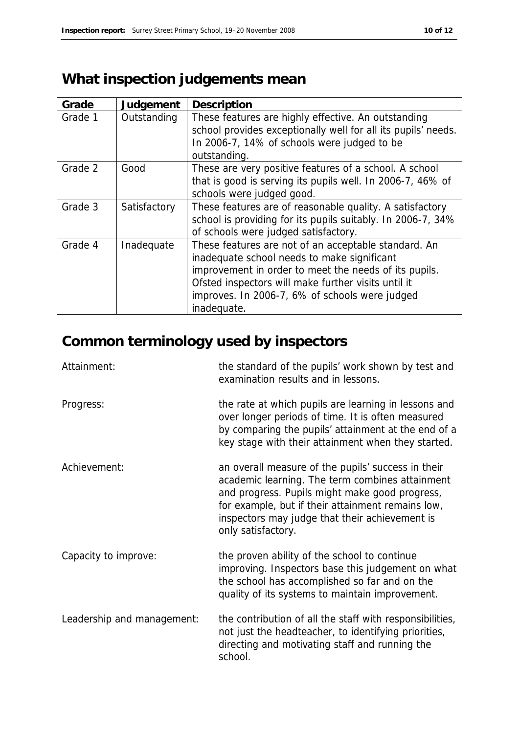### **What inspection judgements mean**

| Grade   | Judgement    | Description                                                                                                                                                                                                                                                                          |
|---------|--------------|--------------------------------------------------------------------------------------------------------------------------------------------------------------------------------------------------------------------------------------------------------------------------------------|
| Grade 1 | Outstanding  | These features are highly effective. An outstanding<br>school provides exceptionally well for all its pupils' needs.<br>In 2006-7, 14% of schools were judged to be<br>outstanding.                                                                                                  |
| Grade 2 | Good         | These are very positive features of a school. A school<br>that is good is serving its pupils well. In 2006-7, 46% of<br>schools were judged good.                                                                                                                                    |
| Grade 3 | Satisfactory | These features are of reasonable quality. A satisfactory<br>school is providing for its pupils suitably. In 2006-7, 34%<br>of schools were judged satisfactory.                                                                                                                      |
| Grade 4 | Inadequate   | These features are not of an acceptable standard. An<br>inadequate school needs to make significant<br>improvement in order to meet the needs of its pupils.<br>Ofsted inspectors will make further visits until it<br>improves. In 2006-7, 6% of schools were judged<br>inadequate. |

## **Common terminology used by inspectors**

| Attainment:                | the standard of the pupils' work shown by test and<br>examination results and in lessons.                                                                                                                                                                                            |
|----------------------------|--------------------------------------------------------------------------------------------------------------------------------------------------------------------------------------------------------------------------------------------------------------------------------------|
| Progress:                  | the rate at which pupils are learning in lessons and<br>over longer periods of time. It is often measured<br>by comparing the pupils' attainment at the end of a<br>key stage with their attainment when they started.                                                               |
| Achievement:               | an overall measure of the pupils' success in their<br>academic learning. The term combines attainment<br>and progress. Pupils might make good progress,<br>for example, but if their attainment remains low,<br>inspectors may judge that their achievement is<br>only satisfactory. |
| Capacity to improve:       | the proven ability of the school to continue<br>improving. Inspectors base this judgement on what<br>the school has accomplished so far and on the<br>quality of its systems to maintain improvement.                                                                                |
| Leadership and management: | the contribution of all the staff with responsibilities,<br>not just the headteacher, to identifying priorities,<br>directing and motivating staff and running the<br>school.                                                                                                        |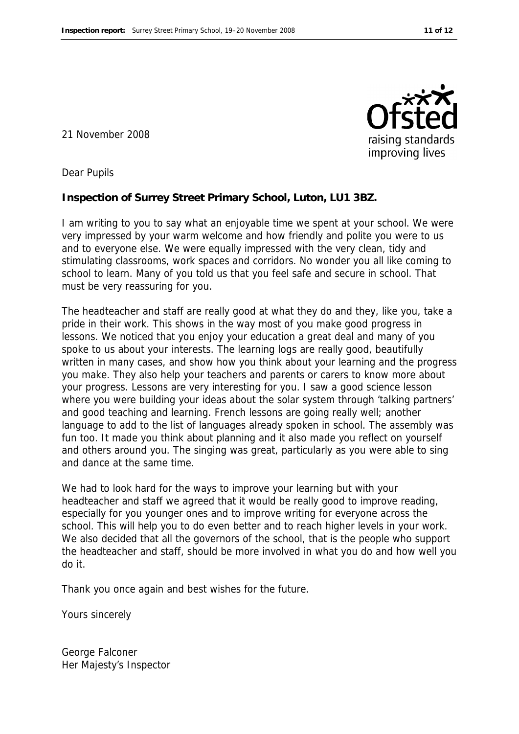21 November 2008



Dear Pupils

**Inspection of Surrey Street Primary School, Luton, LU1 3BZ.**

I am writing to you to say what an enjoyable time we spent at your school. We were very impressed by your warm welcome and how friendly and polite you were to us and to everyone else. We were equally impressed with the very clean, tidy and stimulating classrooms, work spaces and corridors. No wonder you all like coming to school to learn. Many of you told us that you feel safe and secure in school. That must be very reassuring for you.

The headteacher and staff are really good at what they do and they, like you, take a pride in their work. This shows in the way most of you make good progress in lessons. We noticed that you enjoy your education a great deal and many of you spoke to us about your interests. The learning logs are really good, beautifully written in many cases, and show how you think about your learning and the progress you make. They also help your teachers and parents or carers to know more about your progress. Lessons are very interesting for you. I saw a good science lesson where you were building your ideas about the solar system through 'talking partners' and good teaching and learning. French lessons are going really well; another language to add to the list of languages already spoken in school. The assembly was fun too. It made you think about planning and it also made you reflect on yourself and others around you. The singing was great, particularly as you were able to sing and dance at the same time.

We had to look hard for the ways to improve your learning but with your headteacher and staff we agreed that it would be really good to improve reading, especially for you younger ones and to improve writing for everyone across the school. This will help you to do even better and to reach higher levels in your work. We also decided that all the governors of the school, that is the people who support the headteacher and staff, should be more involved in what you do and how well you do it.

Thank you once again and best wishes for the future.

Yours sincerely

George Falconer Her Majesty's Inspector